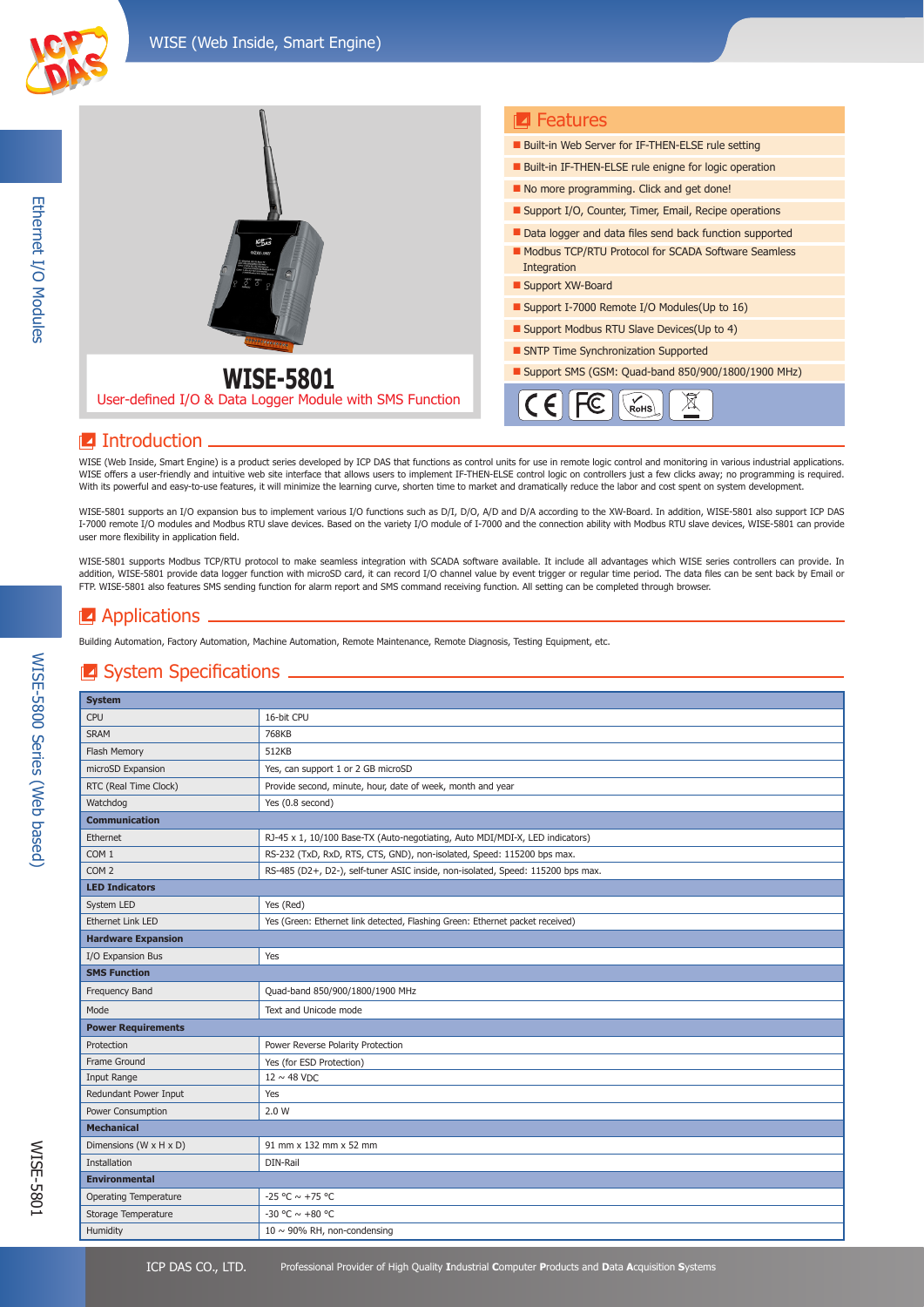



### **I**ntroduction

WISE (Web Inside, Smart Engine) is a product series developed by ICP DAS that functions as control units for use in remote logic control and monitoring in various industrial applications. WISE offers a user-friendly and intuitive web site interface that allows users to implement IF-THEN-ELSE control logic on controllers just a few clicks away; no programming is required. With its powerful and easy-to-use features, it will minimize the learning curve, shorten time to market and dramatically reduce the labor and cost spent on system development.

WISE-5801 supports an I/O expansion bus to implement various I/O functions such as D/I, D/O, A/D and D/A according to the XW-Board. In addition, WISE-5801 also support ICP DAS I-7000 remote I/O modules and Modbus RTU slave devices. Based on the variety I/O module of I-7000 and the connection ability with Modbus RTU slave devices, WISE-5801 can provide user more flexibility in application field.

WISE-5801 supports Modbus TCP/RTU protocol to make seamless integration with SCADA software available. It include all advantages which WISE series controllers can provide. In addition, WISE-5801 provide data logger function with microSD card, it can record I/O channel value by event trigger or regular time period. The data files can be sent back by Email or FTP. WISE-5801 also features SMS sending function for alarm report and SMS command receiving function. All setting can be completed through browser.

### $\blacksquare$  Applications.

Building Automation, Factory Automation, Machine Automation, Remote Maintenance, Remote Diagnosis, Testing Equipment, etc.

#### **Z** System Specifications

| <b>System</b>                |                                                                                 |  |  |
|------------------------------|---------------------------------------------------------------------------------|--|--|
| <b>CPU</b>                   | 16-bit CPU                                                                      |  |  |
| <b>SRAM</b>                  | 768KB                                                                           |  |  |
| Flash Memory                 | 512KB                                                                           |  |  |
| microSD Expansion            | Yes, can support 1 or 2 GB microSD                                              |  |  |
| RTC (Real Time Clock)        | Provide second, minute, hour, date of week, month and year                      |  |  |
| Watchdog                     | Yes (0.8 second)                                                                |  |  |
| <b>Communication</b>         |                                                                                 |  |  |
| Ethernet                     | RJ-45 x 1, 10/100 Base-TX (Auto-negotiating, Auto MDI/MDI-X, LED indicators)    |  |  |
| COM <sub>1</sub>             | RS-232 (TxD, RxD, RTS, CTS, GND), non-isolated, Speed: 115200 bps max.          |  |  |
| COM <sub>2</sub>             | RS-485 (D2+, D2-), self-tuner ASIC inside, non-isolated, Speed: 115200 bps max. |  |  |
| <b>LED Indicators</b>        |                                                                                 |  |  |
| System LED                   | Yes (Red)                                                                       |  |  |
| <b>Ethernet Link LED</b>     | Yes (Green: Ethernet link detected, Flashing Green: Ethernet packet received)   |  |  |
| <b>Hardware Expansion</b>    |                                                                                 |  |  |
| I/O Expansion Bus            | Yes                                                                             |  |  |
| <b>SMS Function</b>          |                                                                                 |  |  |
| Frequency Band               | Quad-band 850/900/1800/1900 MHz                                                 |  |  |
| Mode                         | Text and Unicode mode                                                           |  |  |
| <b>Power Requirements</b>    |                                                                                 |  |  |
| Protection                   | Power Reverse Polarity Protection                                               |  |  |
| Frame Ground                 | Yes (for ESD Protection)                                                        |  |  |
| Input Range                  | $12 \sim 48$ VDC                                                                |  |  |
| Redundant Power Input        | Yes                                                                             |  |  |
| Power Consumption            | 2.0 W                                                                           |  |  |
| <b>Mechanical</b>            |                                                                                 |  |  |
| Dimensions (W x H x D)       | 91 mm x 132 mm x 52 mm                                                          |  |  |
| Installation                 | DIN-Rail                                                                        |  |  |
| <b>Environmental</b>         |                                                                                 |  |  |
| <b>Operating Temperature</b> | $-25 °C \sim +75 °C$                                                            |  |  |
| Storage Temperature          | -30 °C $\sim$ +80 °C                                                            |  |  |
| Humidity                     | $10 \sim 90\%$ RH, non-condensing                                               |  |  |